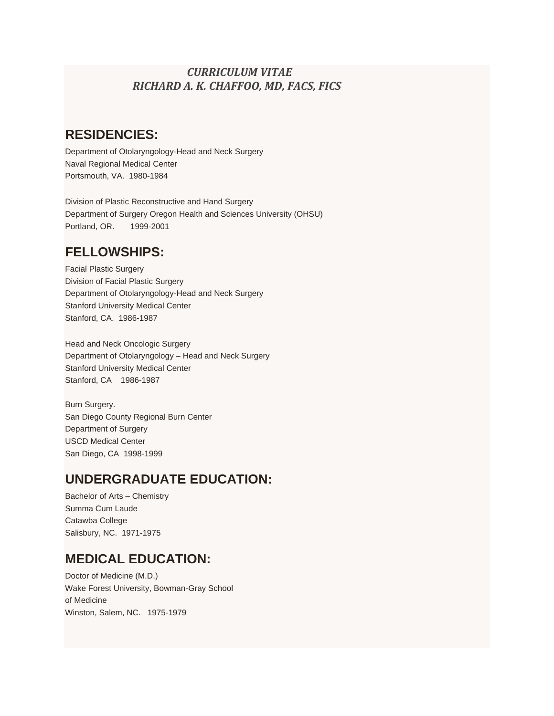#### *CURRICULUM VITAE RICHARD A. K. CHAFFOO, MD, FACS, FICS*

#### **RESIDENCIES:**

Department of Otolaryngology-Head and Neck Surgery Naval Regional Medical Center Portsmouth, VA. 1980-1984

Division of Plastic Reconstructive and Hand Surgery Department of Surgery Oregon Health and Sciences University (OHSU) Portland, OR. 1999-2001

### **FELLOWSHIPS:**

Facial Plastic Surgery Division of Facial Plastic Surgery Department of Otolaryngology-Head and Neck Surgery Stanford University Medical Center Stanford, CA. 1986-1987

Head and Neck Oncologic Surgery Department of Otolaryngology – Head and Neck Surgery Stanford University Medical Center Stanford, CA 1986-1987

Burn Surgery. San Diego County Regional Burn Center Department of Surgery USCD Medical Center San Diego, CA 1998-1999

#### **UNDERGRADUATE EDUCATION:**

Bachelor of Arts – Chemistry Summa Cum Laude Catawba College Salisbury, NC. 1971-1975

### **MEDICAL EDUCATION:**

Doctor of Medicine (M.D.) Wake Forest University, Bowman-Gray School of Medicine Winston, Salem, NC. 1975-1979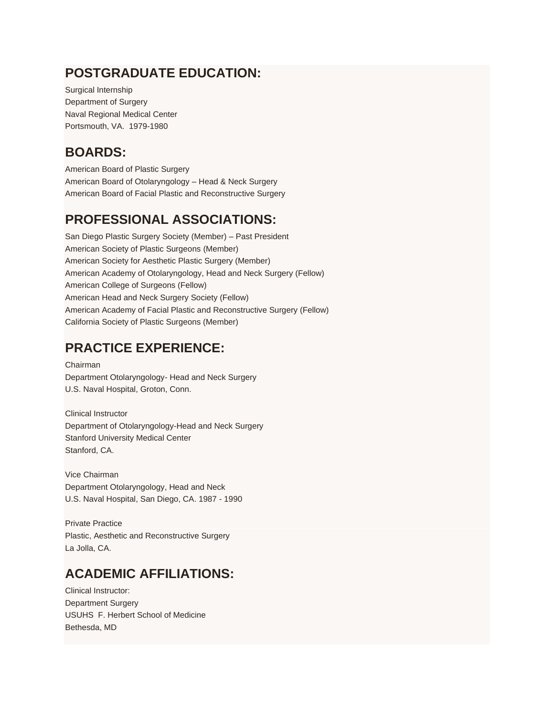### **POSTGRADUATE EDUCATION:**

Surgical Internship Department of Surgery Naval Regional Medical Center Portsmouth, VA. 1979-1980

## **BOARDS:**

American Board of Plastic Surgery American Board of Otolaryngology – Head & Neck Surgery American Board of Facial Plastic and Reconstructive Surgery

# **PROFESSIONAL ASSOCIATIONS:**

San Diego Plastic Surgery Society (Member) – Past President American Society of Plastic Surgeons (Member) American Society for Aesthetic Plastic Surgery (Member) American Academy of Otolaryngology, Head and Neck Surgery (Fellow) American College of Surgeons (Fellow) American Head and Neck Surgery Society (Fellow) American Academy of Facial Plastic and Reconstructive Surgery (Fellow) California Society of Plastic Surgeons (Member)

### **PRACTICE EXPERIENCE:**

Chairman Department Otolaryngology- Head and Neck Surgery U.S. Naval Hospital, Groton, Conn.

Clinical Instructor Department of Otolaryngology-Head and Neck Surgery Stanford University Medical Center Stanford, CA.

Vice Chairman Department Otolaryngology, Head and Neck U.S. Naval Hospital, San Diego, CA. 1987 - 1990

Private Practice Plastic, Aesthetic and Reconstructive Surgery La Jolla, CA.

# **ACADEMIC AFFILIATIONS:**

Clinical Instructor: Department Surgery USUHS F. Herbert School of Medicine Bethesda, MD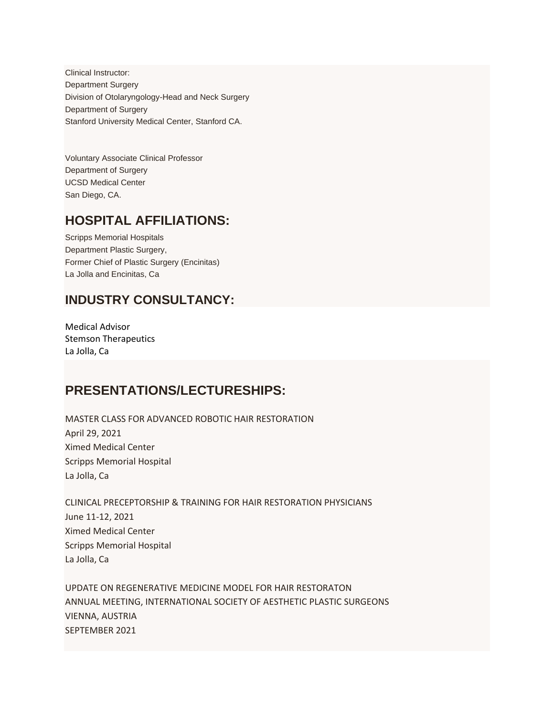Clinical Instructor: Department Surgery Division of Otolaryngology-Head and Neck Surgery Department of Surgery Stanford University Medical Center, Stanford CA.

Voluntary Associate Clinical Professor Department of Surgery UCSD Medical Center San Diego, CA.

#### **HOSPITAL AFFILIATIONS:**

Scripps Memorial Hospitals Department Plastic Surgery, Former Chief of Plastic Surgery (Encinitas) La Jolla and Encinitas, Ca

#### **INDUSTRY CONSULTANCY:**

Medical Advisor Stemson Therapeutics La Jolla, Ca

### **PRESENTATIONS/LECTURESHIPS:**

MASTER CLASS FOR ADVANCED ROBOTIC HAIR RESTORATION April 29, 2021 Ximed Medical Center Scripps Memorial Hospital La Jolla, Ca

CLINICAL PRECEPTORSHIP & TRAINING FOR HAIR RESTORATION PHYSICIANS June 11-12, 2021 Ximed Medical Center Scripps Memorial Hospital La Jolla, Ca

UPDATE ON REGENERATIVE MEDICINE MODEL FOR HAIR RESTORATON ANNUAL MEETING, INTERNATIONAL SOCIETY OF AESTHETIC PLASTIC SURGEONS VIENNA, AUSTRIA SEPTEMBER 2021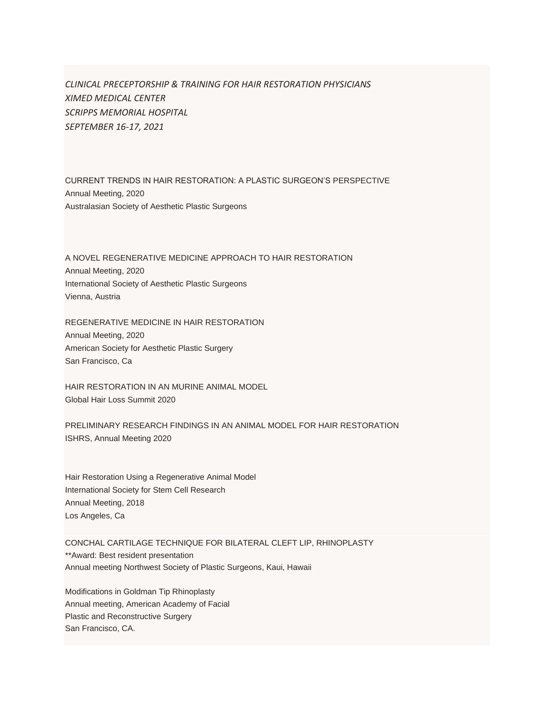*CLINICAL PRECEPTORSHIP & TRAINING FOR HAIR RESTORATION PHYSICIANS XIMED MEDICAL CENTER SCRIPPS MEMORIAL HOSPITAL SEPTEMBER 16-17, 2021*

CURRENT TRENDS IN HAIR RESTORATION: A PLASTIC SURGEON'S PERSPECTIVE Annual Meeting, 2020 Australasian Society of Aesthetic Plastic Surgeons

A NOVEL REGENERATIVE MEDICINE APPROACH TO HAIR RESTORATION Annual Meeting, 2020 International Society of Aesthetic Plastic Surgeons Vienna, Austria

REGENERATIVE MEDICINE IN HAIR RESTORATION Annual Meeting, 2020 American Society for Aesthetic Plastic Surgery San Francisco, Ca

HAIR RESTORATION IN AN MURINE ANIMAL MODEL Global Hair Loss Summit 2020

PRELIMINARY RESEARCH FINDINGS IN AN ANIMAL MODEL FOR HAIR RESTORATION ISHRS, Annual Meeting 2020

Hair Restoration Using a Regenerative Animal Model International Society for Stem Cell Research Annual Meeting, 2018 Los Angeles, Ca

CONCHAL CARTILAGE TECHNIQUE FOR BILATERAL CLEFT LIP, RHINOPLASTY \*\*Award: Best resident presentation Annual meeting Northwest Society of Plastic Surgeons, Kaui, Hawaii

Modifications in Goldman Tip Rhinoplasty Annual meeting, American Academy of Facial Plastic and Reconstructive Surgery San Francisco, CA.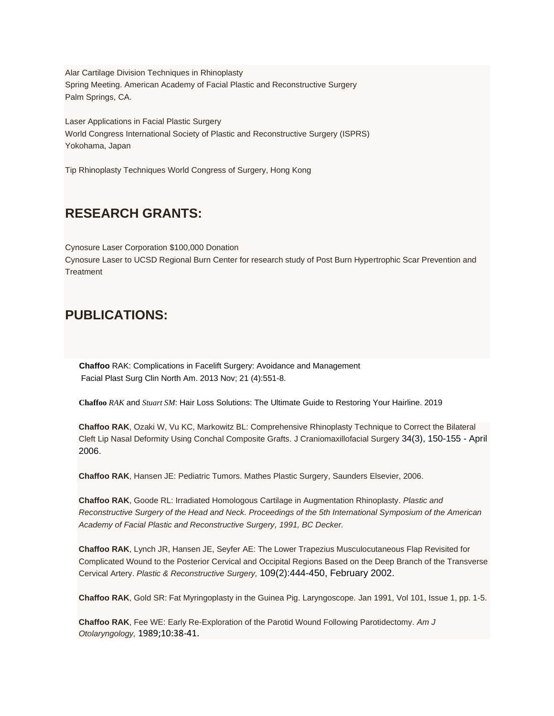Alar Cartilage Division Techniques in Rhinoplasty Spring Meeting. American Academy of Facial Plastic and Reconstructive Surgery Palm Springs, CA.

Laser Applications in Facial Plastic Surgery World Congress International Society of Plastic and Reconstructive Surgery (ISPRS) Yokohama, Japan

Tip Rhinoplasty Techniques World Congress of Surgery, Hong Kong

### **RESEARCH GRANTS:**

Cynosure Laser Corporation \$100,000 Donation Cynosure Laser to UCSD Regional Burn Center for research study of Post Burn Hypertrophic Scar Prevention and **Treatment** 

### **PUBLICATIONS:**

 **Chaffoo** RAK: Complications in Facelift Surgery: Avoidance and Management Facial Plast Surg Clin North Am. 2013 Nov; 21 (4):551-8.

**Chaffoo** *RAK* and *Stuart SM*: Hair Loss Solutions: The Ultimate Guide to Restoring Your Hairline. 2019

**Chaffoo RAK**, Ozaki W, Vu KC, Markowitz BL: Comprehensive Rhinoplasty Technique to Correct the Bilateral Cleft Lip Nasal Deformity Using Conchal Composite Grafts. J Craniomaxillofacial Surgery 34(3), 150-155 - April 2006.

**Chaffoo RAK**, Hansen JE: Pediatric Tumors. Mathes Plastic Surgery, Saunders Elsevier, 2006.

**Chaffoo RAK**, Goode RL: Irradiated Homologous Cartilage in Augmentation Rhinoplasty. *Plastic and Reconstructive Surgery of the Head and Neck. Proceedings of the 5th International Symposium of the American Academy of Facial Plastic and Reconstructive Surgery, 1991, BC Decker.*

**Chaffoo RAK**, Lynch JR, Hansen JE, Seyfer AE: The Lower Trapezius Musculocutaneous Flap Revisited for Complicated Wound to the Posterior Cervical and Occipital Regions Based on the Deep Branch of the Transverse Cervical Artery. *Plastic & Reconstructive Surgery,* 109(2):444-450, February 2002.

**Chaffoo RAK**, Gold SR: Fat Myringoplasty in the Guinea Pig. Laryngoscope. Jan 1991, Vol 101, Issue 1, pp. 1-5.

**Chaffoo RAK**, Fee WE: Early Re-Exploration of the Parotid Wound Following Parotidectomy. *Am J Otolaryngology,* 1989;10:38-41.